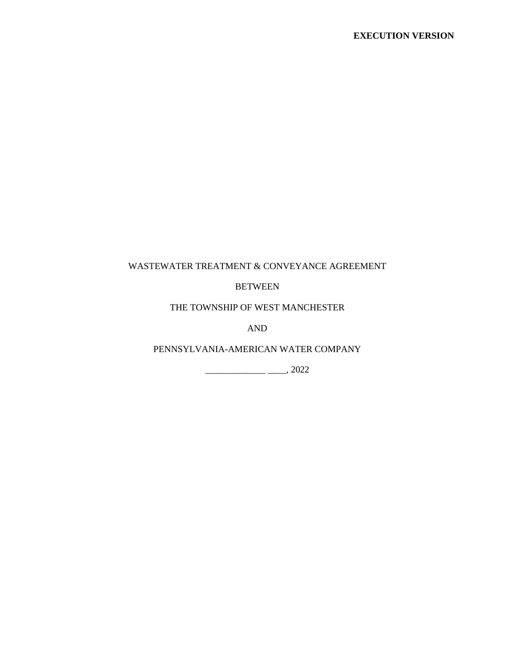# WASTEWATER TREATMENT & CONVEYANCE AGREEMENT

## BETWEEN

THE TOWNSHIP OF WEST MANCHESTER

AND

PENNSYLVANIA-AMERICAN WATER COMPANY

 $\frac{1}{2022}$ , 2022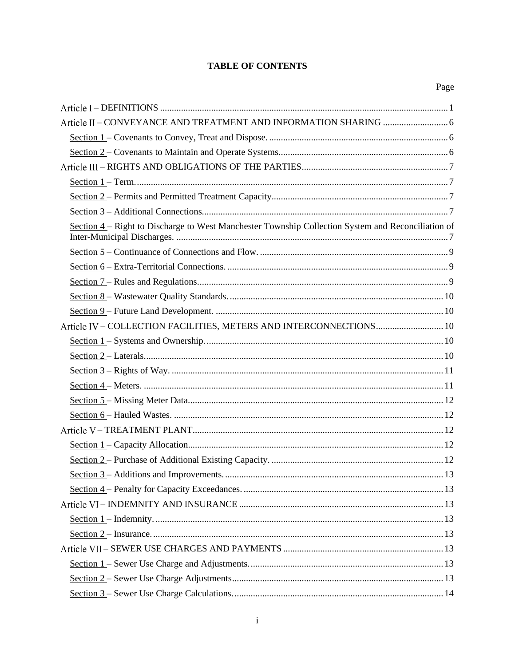# **TABLE OF CONTENTS**

| Section 4 – Right to Discharge to West Manchester Township Collection System and Reconciliation of |
|----------------------------------------------------------------------------------------------------|
|                                                                                                    |
|                                                                                                    |
|                                                                                                    |
|                                                                                                    |
|                                                                                                    |
| Article IV - COLLECTION FACILITIES, METERS AND INTERCONNECTIONS 10                                 |
|                                                                                                    |
|                                                                                                    |
|                                                                                                    |
|                                                                                                    |
|                                                                                                    |
|                                                                                                    |
|                                                                                                    |
|                                                                                                    |
|                                                                                                    |
|                                                                                                    |
|                                                                                                    |
|                                                                                                    |
|                                                                                                    |
|                                                                                                    |
|                                                                                                    |
|                                                                                                    |
|                                                                                                    |
|                                                                                                    |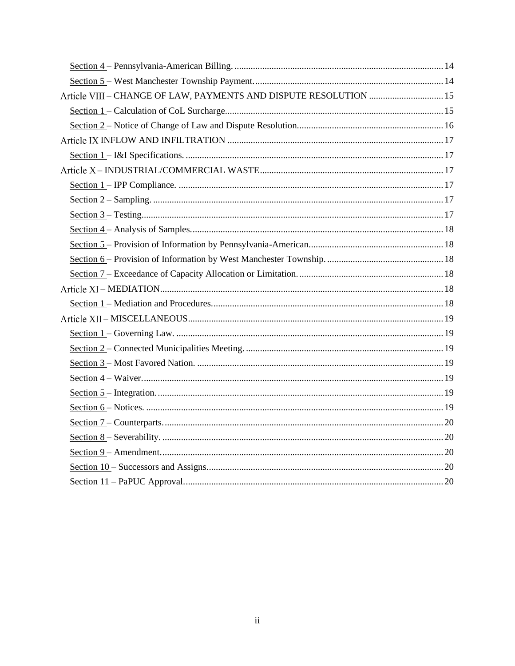| Article VIII - CHANGE OF LAW, PAYMENTS AND DISPUTE RESOLUTION  15 |
|-------------------------------------------------------------------|
|                                                                   |
|                                                                   |
|                                                                   |
|                                                                   |
|                                                                   |
|                                                                   |
|                                                                   |
|                                                                   |
|                                                                   |
|                                                                   |
|                                                                   |
|                                                                   |
|                                                                   |
|                                                                   |
|                                                                   |
|                                                                   |
|                                                                   |
|                                                                   |
|                                                                   |
|                                                                   |
|                                                                   |
|                                                                   |
|                                                                   |
|                                                                   |
|                                                                   |
|                                                                   |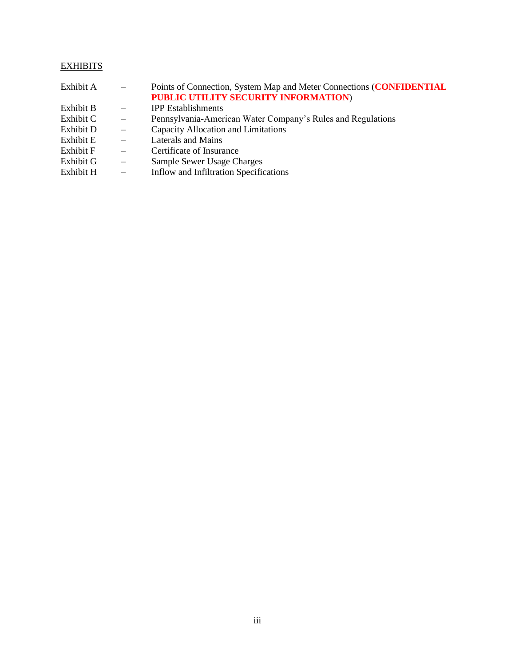# **EXHIBITS**

| Exhibit A | $\qquad \qquad -$        | Points of Connection, System Map and Meter Connections (CONFIDENTIAL |
|-----------|--------------------------|----------------------------------------------------------------------|
|           |                          | PUBLIC UTILITY SECURITY INFORMATION)                                 |
| Exhibit B | $\overline{\phantom{m}}$ | <b>IPP</b> Establishments                                            |
| Exhibit C | $ \,$                    | Pennsylvania-American Water Company's Rules and Regulations          |
| Exhibit D | $\overline{\phantom{m}}$ | Capacity Allocation and Limitations                                  |
| Exhibit E | $\overline{\phantom{a}}$ | Laterals and Mains                                                   |
| Exhibit F | $\overline{\phantom{0}}$ | Certificate of Insurance                                             |
| Exhibit G | $\overline{\phantom{0}}$ | Sample Sewer Usage Charges                                           |
| Exhibit H | $\qquad \qquad -$        | Inflow and Infiltration Specifications                               |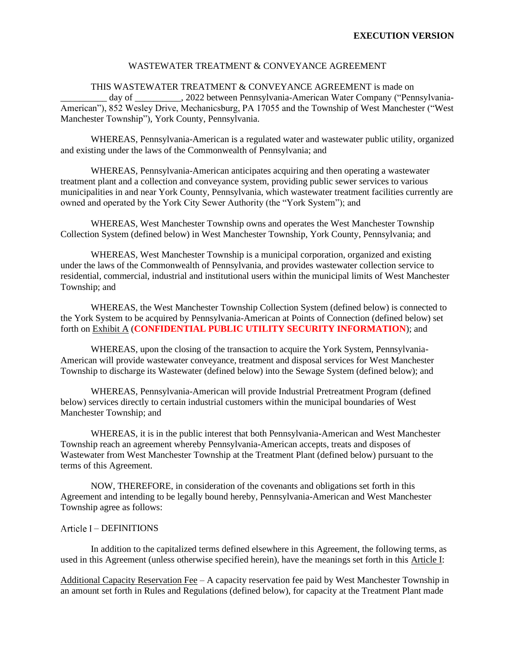#### WASTEWATER TREATMENT & CONVEYANCE AGREEMENT

#### THIS WASTEWATER TREATMENT & CONVEYANCE AGREEMENT is made on

\_\_\_\_\_\_\_\_\_\_ day of \_\_\_\_\_\_\_\_\_\_, 2022 between Pennsylvania-American Water Company ("Pennsylvania-American"), 852 Wesley Drive, Mechanicsburg, PA 17055 and the Township of West Manchester ("West Manchester Township"), York County, Pennsylvania.

WHEREAS, Pennsylvania-American is a regulated water and wastewater public utility, organized and existing under the laws of the Commonwealth of Pennsylvania; and

WHEREAS, Pennsylvania-American anticipates acquiring and then operating a wastewater treatment plant and a collection and conveyance system, providing public sewer services to various municipalities in and near York County, Pennsylvania, which wastewater treatment facilities currently are owned and operated by the York City Sewer Authority (the "York System"); and

WHEREAS, West Manchester Township owns and operates the West Manchester Township Collection System (defined below) in West Manchester Township, York County, Pennsylvania; and

WHEREAS, West Manchester Township is a municipal corporation, organized and existing under the laws of the Commonwealth of Pennsylvania, and provides wastewater collection service to residential, commercial, industrial and institutional users within the municipal limits of West Manchester Township; and

WHEREAS, the West Manchester Township Collection System (defined below) is connected to the York System to be acquired by Pennsylvania-American at Points of Connection (defined below) set forth on Exhibit A (**CONFIDENTIAL PUBLIC UTILITY SECURITY INFORMATION**); and

WHEREAS, upon the closing of the transaction to acquire the York System, Pennsylvania-American will provide wastewater conveyance, treatment and disposal services for West Manchester Township to discharge its Wastewater (defined below) into the Sewage System (defined below); and

WHEREAS, Pennsylvania-American will provide Industrial Pretreatment Program (defined below) services directly to certain industrial customers within the municipal boundaries of West Manchester Township; and

WHEREAS, it is in the public interest that both Pennsylvania-American and West Manchester Township reach an agreement whereby Pennsylvania-American accepts, treats and disposes of Wastewater from West Manchester Township at the Treatment Plant (defined below) pursuant to the terms of this Agreement.

NOW, THEREFORE, in consideration of the covenants and obligations set forth in this Agreement and intending to be legally bound hereby, Pennsylvania-American and West Manchester Township agree as follows:

#### – DEFINITIONS

In addition to the capitalized terms defined elsewhere in this Agreement, the following terms, as used in this Agreement (unless otherwise specified herein), have the meanings set forth in this Article I:

Additional Capacity Reservation Fee – A capacity reservation fee paid by West Manchester Township in an amount set forth in Rules and Regulations (defined below), for capacity at the Treatment Plant made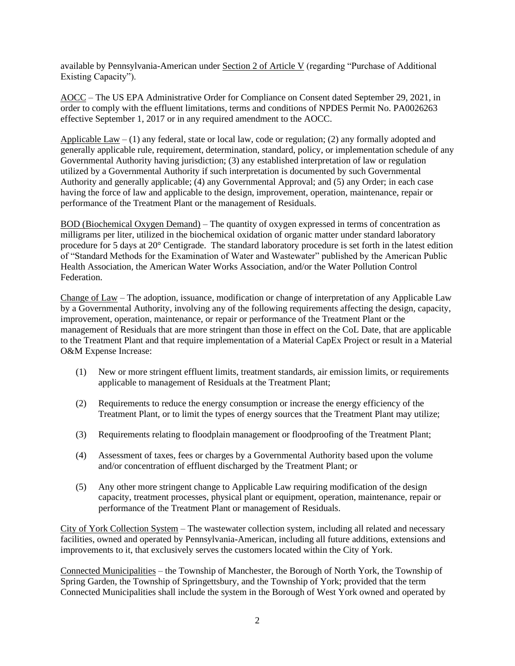available by Pennsylvania-American under Section 2 of Article V (regarding "Purchase of Additional Existing Capacity").

AOCC – The US EPA Administrative Order for Compliance on Consent dated September 29, 2021, in order to comply with the effluent limitations, terms and conditions of NPDES Permit No. PA0026263 effective September 1, 2017 or in any required amendment to the AOCC.

Applicable  $Law - (1)$  any federal, state or local law, code or regulation; (2) any formally adopted and generally applicable rule, requirement, determination, standard, policy, or implementation schedule of any Governmental Authority having jurisdiction; (3) any established interpretation of law or regulation utilized by a Governmental Authority if such interpretation is documented by such Governmental Authority and generally applicable; (4) any Governmental Approval; and (5) any Order; in each case having the force of law and applicable to the design, improvement, operation, maintenance, repair or performance of the Treatment Plant or the management of Residuals.

BOD (Biochemical Oxygen Demand) – The quantity of oxygen expressed in terms of concentration as milligrams per liter, utilized in the biochemical oxidation of organic matter under standard laboratory procedure for 5 days at 20° Centigrade. The standard laboratory procedure is set forth in the latest edition of "Standard Methods for the Examination of Water and Wastewater" published by the American Public Health Association, the American Water Works Association, and/or the Water Pollution Control Federation.

Change of Law – The adoption, issuance, modification or change of interpretation of any Applicable Law by a Governmental Authority, involving any of the following requirements affecting the design, capacity, improvement, operation, maintenance, or repair or performance of the Treatment Plant or the management of Residuals that are more stringent than those in effect on the CoL Date, that are applicable to the Treatment Plant and that require implementation of a Material CapEx Project or result in a Material O&M Expense Increase:

- (1) New or more stringent effluent limits, treatment standards, air emission limits, or requirements applicable to management of Residuals at the Treatment Plant;
- (2) Requirements to reduce the energy consumption or increase the energy efficiency of the Treatment Plant, or to limit the types of energy sources that the Treatment Plant may utilize;
- (3) Requirements relating to floodplain management or floodproofing of the Treatment Plant;
- (4) Assessment of taxes, fees or charges by a Governmental Authority based upon the volume and/or concentration of effluent discharged by the Treatment Plant; or
- (5) Any other more stringent change to Applicable Law requiring modification of the design capacity, treatment processes, physical plant or equipment, operation, maintenance, repair or performance of the Treatment Plant or management of Residuals.

City of York Collection System – The wastewater collection system, including all related and necessary facilities, owned and operated by Pennsylvania-American, including all future additions, extensions and improvements to it, that exclusively serves the customers located within the City of York.

Connected Municipalities – the Township of Manchester, the Borough of North York, the Township of Spring Garden, the Township of Springettsbury, and the Township of York; provided that the term Connected Municipalities shall include the system in the Borough of West York owned and operated by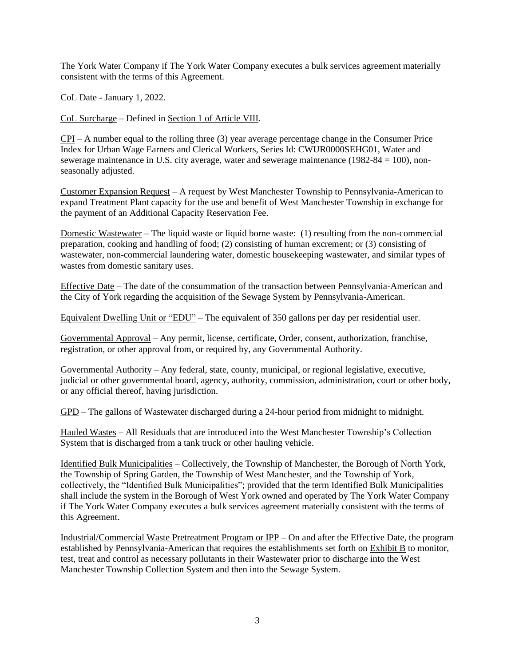The York Water Company if The York Water Company executes a bulk services agreement materially consistent with the terms of this Agreement.

CoL Date - January 1, 2022.

CoL Surcharge – Defined in Section 1 of Article VIII.

 $CPI - A$  number equal to the rolling three (3) year average percentage change in the Consumer Price Index for Urban Wage Earners and Clerical Workers, Series Id: CWUR0000SEHG01, Water and sewerage maintenance in U.S. city average, water and sewerage maintenance (1982-84 = 100), nonseasonally adjusted.

Customer Expansion Request – A request by West Manchester Township to Pennsylvania-American to expand Treatment Plant capacity for the use and benefit of West Manchester Township in exchange for the payment of an Additional Capacity Reservation Fee.

Domestic Wastewater – The liquid waste or liquid borne waste: (1) resulting from the non-commercial preparation, cooking and handling of food; (2) consisting of human excrement; or (3) consisting of wastewater, non-commercial laundering water, domestic housekeeping wastewater, and similar types of wastes from domestic sanitary uses.

Effective Date – The date of the consummation of the transaction between Pennsylvania-American and the City of York regarding the acquisition of the Sewage System by Pennsylvania-American.

Equivalent Dwelling Unit or "EDU" – The equivalent of 350 gallons per day per residential user.

Governmental Approval – Any permit, license, certificate, Order, consent, authorization, franchise, registration, or other approval from, or required by, any Governmental Authority.

Governmental Authority – Any federal, state, county, municipal, or regional legislative, executive, judicial or other governmental board, agency, authority, commission, administration, court or other body, or any official thereof, having jurisdiction.

GPD – The gallons of Wastewater discharged during a 24-hour period from midnight to midnight.

Hauled Wastes – All Residuals that are introduced into the West Manchester Township's Collection System that is discharged from a tank truck or other hauling vehicle.

Identified Bulk Municipalities – Collectively, the Township of Manchester, the Borough of North York, the Township of Spring Garden, the Township of West Manchester, and the Township of York, collectively, the "Identified Bulk Municipalities"; provided that the term Identified Bulk Municipalities shall include the system in the Borough of West York owned and operated by The York Water Company if The York Water Company executes a bulk services agreement materially consistent with the terms of this Agreement.

Industrial/Commercial Waste Pretreatment Program or IPP – On and after the Effective Date, the program established by Pennsylvania-American that requires the establishments set forth on Exhibit B to monitor, test, treat and control as necessary pollutants in their Wastewater prior to discharge into the West Manchester Township Collection System and then into the Sewage System.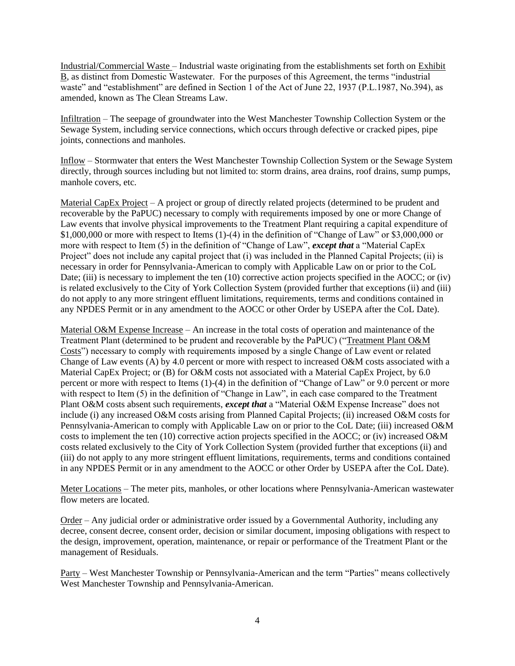Industrial/Commercial Waste – Industrial waste originating from the establishments set forth on Exhibit B, as distinct from Domestic Wastewater. For the purposes of this Agreement, the terms "industrial waste" and "establishment" are defined in Section 1 of the Act of June 22, 1937 (P.L.1987, No.394), as amended, known as The Clean Streams Law.

Infiltration – The seepage of groundwater into the West Manchester Township Collection System or the Sewage System, including service connections, which occurs through defective or cracked pipes, pipe joints, connections and manholes.

Inflow – Stormwater that enters the West Manchester Township Collection System or the Sewage System directly, through sources including but not limited to: storm drains, area drains, roof drains, sump pumps, manhole covers, etc.

Material CapEx Project – A project or group of directly related projects (determined to be prudent and recoverable by the PaPUC) necessary to comply with requirements imposed by one or more Change of Law events that involve physical improvements to the Treatment Plant requiring a capital expenditure of \$1,000,000 or more with respect to Items (1)-(4) in the definition of "Change of Law" or \$3,000,000 or more with respect to Item (5) in the definition of "Change of Law", *except that* a "Material CapEx Project" does not include any capital project that (i) was included in the Planned Capital Projects; (ii) is necessary in order for Pennsylvania-American to comply with Applicable Law on or prior to the CoL Date; (iii) is necessary to implement the ten (10) corrective action projects specified in the AOCC; or (iv) is related exclusively to the City of York Collection System (provided further that exceptions (ii) and (iii) do not apply to any more stringent effluent limitations, requirements, terms and conditions contained in any NPDES Permit or in any amendment to the AOCC or other Order by USEPA after the CoL Date).

Material O&M Expense Increase – An increase in the total costs of operation and maintenance of the Treatment Plant (determined to be prudent and recoverable by the PaPUC) ("Treatment Plant O&M Costs") necessary to comply with requirements imposed by a single Change of Law event or related Change of Law events (A) by 4.0 percent or more with respect to increased O&M costs associated with a Material CapEx Project; or (B) for O&M costs not associated with a Material CapEx Project, by 6.0 percent or more with respect to Items (1)-(4) in the definition of "Change of Law" or 9.0 percent or more with respect to Item (5) in the definition of "Change in Law", in each case compared to the Treatment Plant O&M costs absent such requirements, *except that* a "Material O&M Expense Increase" does not include (i) any increased O&M costs arising from Planned Capital Projects; (ii) increased O&M costs for Pennsylvania-American to comply with Applicable Law on or prior to the CoL Date; (iii) increased O&M costs to implement the ten (10) corrective action projects specified in the AOCC; or (iv) increased O&M costs related exclusively to the City of York Collection System (provided further that exceptions (ii) and (iii) do not apply to any more stringent effluent limitations, requirements, terms and conditions contained in any NPDES Permit or in any amendment to the AOCC or other Order by USEPA after the CoL Date).

Meter Locations – The meter pits, manholes, or other locations where Pennsylvania-American wastewater flow meters are located.

Order – Any judicial order or administrative order issued by a Governmental Authority, including any decree, consent decree, consent order, decision or similar document, imposing obligations with respect to the design, improvement, operation, maintenance, or repair or performance of the Treatment Plant or the management of Residuals.

Party – West Manchester Township or Pennsylvania-American and the term "Parties" means collectively West Manchester Township and Pennsylvania-American.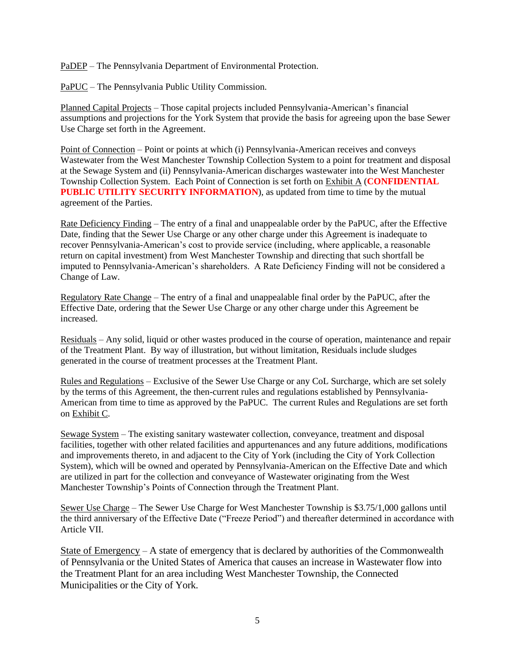PaDEP – The Pennsylvania Department of Environmental Protection.

PaPUC – The Pennsylvania Public Utility Commission.

Planned Capital Projects – Those capital projects included Pennsylvania-American's financial assumptions and projections for the York System that provide the basis for agreeing upon the base Sewer Use Charge set forth in the Agreement.

Point of Connection – Point or points at which (i) Pennsylvania-American receives and conveys Wastewater from the West Manchester Township Collection System to a point for treatment and disposal at the Sewage System and (ii) Pennsylvania-American discharges wastewater into the West Manchester Township Collection System. Each Point of Connection is set forth on Exhibit A (**CONFIDENTIAL PUBLIC UTILITY SECURITY INFORMATION**), as updated from time to time by the mutual agreement of the Parties.

Rate Deficiency Finding – The entry of a final and unappealable order by the PaPUC, after the Effective Date, finding that the Sewer Use Charge or any other charge under this Agreement is inadequate to recover Pennsylvania-American's cost to provide service (including, where applicable, a reasonable return on capital investment) from West Manchester Township and directing that such shortfall be imputed to Pennsylvania-American's shareholders. A Rate Deficiency Finding will not be considered a Change of Law.

Regulatory Rate Change – The entry of a final and unappealable final order by the PaPUC, after the Effective Date, ordering that the Sewer Use Charge or any other charge under this Agreement be increased.

Residuals – Any solid, liquid or other wastes produced in the course of operation, maintenance and repair of the Treatment Plant. By way of illustration, but without limitation, Residuals include sludges generated in the course of treatment processes at the Treatment Plant.

Rules and Regulations – Exclusive of the Sewer Use Charge or any CoL Surcharge, which are set solely by the terms of this Agreement, the then-current rules and regulations established by Pennsylvania-American from time to time as approved by the PaPUC. The current Rules and Regulations are set forth on Exhibit C.

Sewage System – The existing sanitary wastewater collection, conveyance, treatment and disposal facilities, together with other related facilities and appurtenances and any future additions, modifications and improvements thereto, in and adjacent to the City of York (including the City of York Collection System), which will be owned and operated by Pennsylvania-American on the Effective Date and which are utilized in part for the collection and conveyance of Wastewater originating from the West Manchester Township's Points of Connection through the Treatment Plant.

Sewer Use Charge – The Sewer Use Charge for West Manchester Township is \$3.75/1,000 gallons until the third anniversary of the Effective Date ("Freeze Period") and thereafter determined in accordance with Article VII.

State of Emergency – A state of emergency that is declared by authorities of the Commonwealth of Pennsylvania or the United States of America that causes an increase in Wastewater flow into the Treatment Plant for an area including West Manchester Township, the Connected Municipalities or the City of York.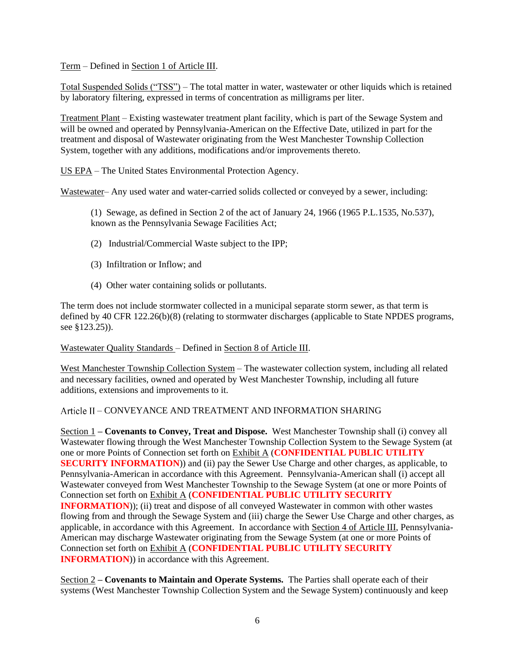Term – Defined in Section 1 of Article III.

Total Suspended Solids ("TSS") – The total matter in water, wastewater or other liquids which is retained by laboratory filtering, expressed in terms of concentration as milligrams per liter.

Treatment Plant – Existing wastewater treatment plant facility, which is part of the Sewage System and will be owned and operated by Pennsylvania-American on the Effective Date, utilized in part for the treatment and disposal of Wastewater originating from the West Manchester Township Collection System, together with any additions, modifications and/or improvements thereto.

US EPA – The United States Environmental Protection Agency.

Wastewater– Any used water and water-carried solids collected or conveyed by a sewer, including:

(1) Sewage, as defined in Section 2 of the act of January 24, 1966 (1965 P.L.1535, No.537), known as the Pennsylvania Sewage Facilities Act;

- (2) Industrial/Commercial Waste subject to the IPP;
- (3) Infiltration or Inflow; and
- (4) Other water containing solids or pollutants.

The term does not include stormwater collected in a municipal separate storm sewer, as that term is defined by 40 CFR 122.26(b)(8) (relating to stormwater discharges (applicable to State NPDES programs, see §123.25)).

Wastewater Quality Standards – Defined in Section 8 of Article III.

West Manchester Township Collection System – The wastewater collection system, including all related and necessary facilities, owned and operated by West Manchester Township, including all future additions, extensions and improvements to it.

## – CONVEYANCE AND TREATMENT AND INFORMATION SHARING

Section 1 **– Covenants to Convey, Treat and Dispose.** West Manchester Township shall (i) convey all Wastewater flowing through the West Manchester Township Collection System to the Sewage System (at one or more Points of Connection set forth on Exhibit A (**CONFIDENTIAL PUBLIC UTILITY SECURITY INFORMATION**)) and (ii) pay the Sewer Use Charge and other charges, as applicable, to Pennsylvania-American in accordance with this Agreement. Pennsylvania-American shall (i) accept all Wastewater conveyed from West Manchester Township to the Sewage System (at one or more Points of Connection set forth on Exhibit A (**CONFIDENTIAL PUBLIC UTILITY SECURITY INFORMATION**)); (ii) treat and dispose of all conveyed Wastewater in common with other wastes flowing from and through the Sewage System and (iii) charge the Sewer Use Charge and other charges, as applicable, in accordance with this Agreement. In accordance with Section 4 of Article III, Pennsylvania-American may discharge Wastewater originating from the Sewage System (at one or more Points of Connection set forth on Exhibit A (**CONFIDENTIAL PUBLIC UTILITY SECURITY INFORMATION**) in accordance with this Agreement.

Section 2 **– Covenants to Maintain and Operate Systems.** The Parties shall operate each of their systems (West Manchester Township Collection System and the Sewage System) continuously and keep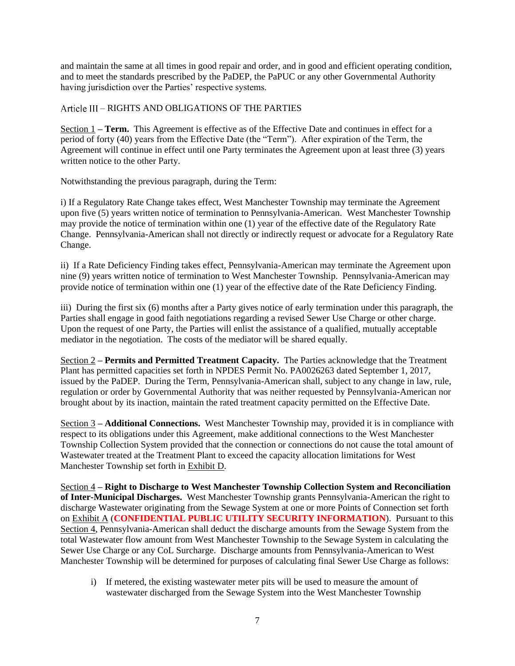and maintain the same at all times in good repair and order, and in good and efficient operating condition, and to meet the standards prescribed by the PaDEP, the PaPUC or any other Governmental Authority having jurisdiction over the Parties' respective systems.

## – RIGHTS AND OBLIGATIONS OF THE PARTIES

Section 1 **– Term.** This Agreement is effective as of the Effective Date and continues in effect for a period of forty (40) years from the Effective Date (the "Term"). After expiration of the Term, the Agreement will continue in effect until one Party terminates the Agreement upon at least three (3) years written notice to the other Party.

Notwithstanding the previous paragraph, during the Term:

i) If a Regulatory Rate Change takes effect, West Manchester Township may terminate the Agreement upon five (5) years written notice of termination to Pennsylvania-American. West Manchester Township may provide the notice of termination within one (1) year of the effective date of the Regulatory Rate Change. Pennsylvania-American shall not directly or indirectly request or advocate for a Regulatory Rate Change.

ii) If a Rate Deficiency Finding takes effect, Pennsylvania-American may terminate the Agreement upon nine (9) years written notice of termination to West Manchester Township. Pennsylvania-American may provide notice of termination within one (1) year of the effective date of the Rate Deficiency Finding.

iii) During the first six (6) months after a Party gives notice of early termination under this paragraph, the Parties shall engage in good faith negotiations regarding a revised Sewer Use Charge or other charge. Upon the request of one Party, the Parties will enlist the assistance of a qualified, mutually acceptable mediator in the negotiation. The costs of the mediator will be shared equally.

Section 2 **– Permits and Permitted Treatment Capacity.** The Parties acknowledge that the Treatment Plant has permitted capacities set forth in NPDES Permit No. PA0026263 dated September 1, 2017, issued by the PaDEP. During the Term, Pennsylvania-American shall, subject to any change in law, rule, regulation or order by Governmental Authority that was neither requested by Pennsylvania-American nor brought about by its inaction, maintain the rated treatment capacity permitted on the Effective Date.

Section 3 **– Additional Connections.** West Manchester Township may, provided it is in compliance with respect to its obligations under this Agreement, make additional connections to the West Manchester Township Collection System provided that the connection or connections do not cause the total amount of Wastewater treated at the Treatment Plant to exceed the capacity allocation limitations for West Manchester Township set forth in Exhibit D.

Section 4 **– Right to Discharge to West Manchester Township Collection System and Reconciliation of Inter-Municipal Discharges.** West Manchester Township grants Pennsylvania-American the right to discharge Wastewater originating from the Sewage System at one or more Points of Connection set forth on Exhibit A (**CONFIDENTIAL PUBLIC UTILITY SECURITY INFORMATION**). Pursuant to this Section 4, Pennsylvania-American shall deduct the discharge amounts from the Sewage System from the total Wastewater flow amount from West Manchester Township to the Sewage System in calculating the Sewer Use Charge or any CoL Surcharge. Discharge amounts from Pennsylvania-American to West Manchester Township will be determined for purposes of calculating final Sewer Use Charge as follows:

i) If metered, the existing wastewater meter pits will be used to measure the amount of wastewater discharged from the Sewage System into the West Manchester Township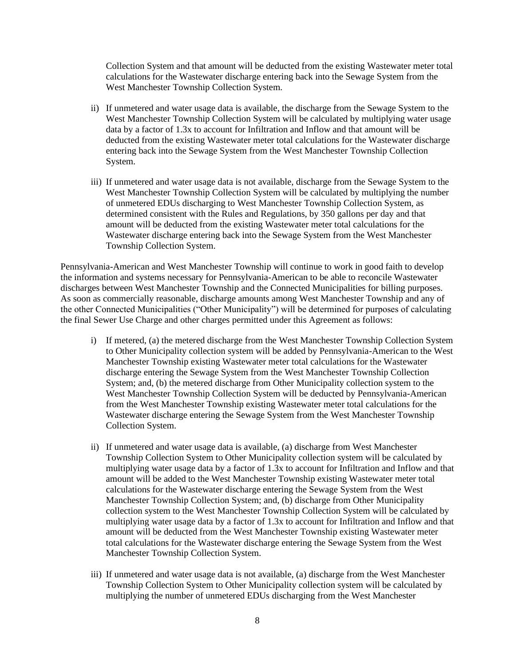Collection System and that amount will be deducted from the existing Wastewater meter total calculations for the Wastewater discharge entering back into the Sewage System from the West Manchester Township Collection System.

- ii) If unmetered and water usage data is available, the discharge from the Sewage System to the West Manchester Township Collection System will be calculated by multiplying water usage data by a factor of 1.3x to account for Infiltration and Inflow and that amount will be deducted from the existing Wastewater meter total calculations for the Wastewater discharge entering back into the Sewage System from the West Manchester Township Collection System.
- iii) If unmetered and water usage data is not available, discharge from the Sewage System to the West Manchester Township Collection System will be calculated by multiplying the number of unmetered EDUs discharging to West Manchester Township Collection System, as determined consistent with the Rules and Regulations, by 350 gallons per day and that amount will be deducted from the existing Wastewater meter total calculations for the Wastewater discharge entering back into the Sewage System from the West Manchester Township Collection System.

Pennsylvania-American and West Manchester Township will continue to work in good faith to develop the information and systems necessary for Pennsylvania-American to be able to reconcile Wastewater discharges between West Manchester Township and the Connected Municipalities for billing purposes. As soon as commercially reasonable, discharge amounts among West Manchester Township and any of the other Connected Municipalities ("Other Municipality") will be determined for purposes of calculating the final Sewer Use Charge and other charges permitted under this Agreement as follows:

- i) If metered, (a) the metered discharge from the West Manchester Township Collection System to Other Municipality collection system will be added by Pennsylvania-American to the West Manchester Township existing Wastewater meter total calculations for the Wastewater discharge entering the Sewage System from the West Manchester Township Collection System; and, (b) the metered discharge from Other Municipality collection system to the West Manchester Township Collection System will be deducted by Pennsylvania-American from the West Manchester Township existing Wastewater meter total calculations for the Wastewater discharge entering the Sewage System from the West Manchester Township Collection System.
- ii) If unmetered and water usage data is available, (a) discharge from West Manchester Township Collection System to Other Municipality collection system will be calculated by multiplying water usage data by a factor of 1.3x to account for Infiltration and Inflow and that amount will be added to the West Manchester Township existing Wastewater meter total calculations for the Wastewater discharge entering the Sewage System from the West Manchester Township Collection System; and, (b) discharge from Other Municipality collection system to the West Manchester Township Collection System will be calculated by multiplying water usage data by a factor of 1.3x to account for Infiltration and Inflow and that amount will be deducted from the West Manchester Township existing Wastewater meter total calculations for the Wastewater discharge entering the Sewage System from the West Manchester Township Collection System.
- iii) If unmetered and water usage data is not available, (a) discharge from the West Manchester Township Collection System to Other Municipality collection system will be calculated by multiplying the number of unmetered EDUs discharging from the West Manchester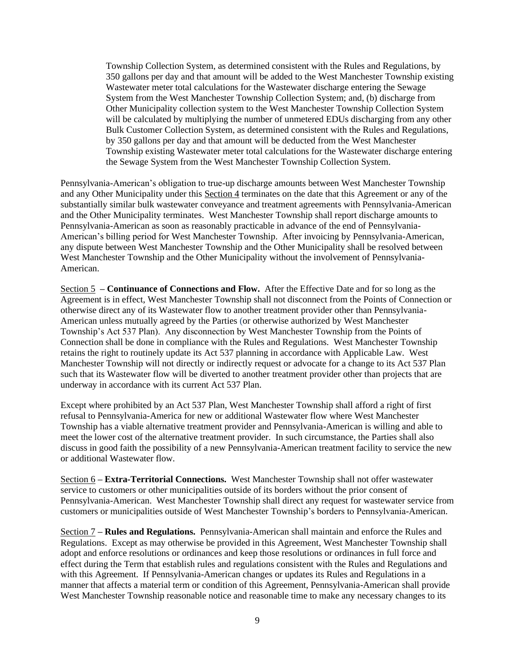Township Collection System, as determined consistent with the Rules and Regulations, by 350 gallons per day and that amount will be added to the West Manchester Township existing Wastewater meter total calculations for the Wastewater discharge entering the Sewage System from the West Manchester Township Collection System; and, (b) discharge from Other Municipality collection system to the West Manchester Township Collection System will be calculated by multiplying the number of unmetered EDUs discharging from any other Bulk Customer Collection System, as determined consistent with the Rules and Regulations, by 350 gallons per day and that amount will be deducted from the West Manchester Township existing Wastewater meter total calculations for the Wastewater discharge entering the Sewage System from the West Manchester Township Collection System.

Pennsylvania-American's obligation to true-up discharge amounts between West Manchester Township and any Other Municipality under this Section 4 terminates on the date that this Agreement or any of the substantially similar bulk wastewater conveyance and treatment agreements with Pennsylvania-American and the Other Municipality terminates. West Manchester Township shall report discharge amounts to Pennsylvania-American as soon as reasonably practicable in advance of the end of Pennsylvania-American's billing period for West Manchester Township. After invoicing by Pennsylvania-American, any dispute between West Manchester Township and the Other Municipality shall be resolved between West Manchester Township and the Other Municipality without the involvement of Pennsylvania-American.

Section 5 **– Continuance of Connections and Flow.** After the Effective Date and for so long as the Agreement is in effect, West Manchester Township shall not disconnect from the Points of Connection or otherwise direct any of its Wastewater flow to another treatment provider other than Pennsylvania-American unless mutually agreed by the Parties (or otherwise authorized by West Manchester Township's Act 537 Plan). Any disconnection by West Manchester Township from the Points of Connection shall be done in compliance with the Rules and Regulations. West Manchester Township retains the right to routinely update its Act 537 planning in accordance with Applicable Law. West Manchester Township will not directly or indirectly request or advocate for a change to its Act 537 Plan such that its Wastewater flow will be diverted to another treatment provider other than projects that are underway in accordance with its current Act 537 Plan.

Except where prohibited by an Act 537 Plan, West Manchester Township shall afford a right of first refusal to Pennsylvania-America for new or additional Wastewater flow where West Manchester Township has a viable alternative treatment provider and Pennsylvania-American is willing and able to meet the lower cost of the alternative treatment provider. In such circumstance, the Parties shall also discuss in good faith the possibility of a new Pennsylvania-American treatment facility to service the new or additional Wastewater flow.

Section 6 **– Extra-Territorial Connections.** West Manchester Township shall not offer wastewater service to customers or other municipalities outside of its borders without the prior consent of Pennsylvania-American. West Manchester Township shall direct any request for wastewater service from customers or municipalities outside of West Manchester Township's borders to Pennsylvania-American.

Section 7 **– Rules and Regulations.** Pennsylvania-American shall maintain and enforce the Rules and Regulations. Except as may otherwise be provided in this Agreement, West Manchester Township shall adopt and enforce resolutions or ordinances and keep those resolutions or ordinances in full force and effect during the Term that establish rules and regulations consistent with the Rules and Regulations and with this Agreement. If Pennsylvania-American changes or updates its Rules and Regulations in a manner that affects a material term or condition of this Agreement, Pennsylvania-American shall provide West Manchester Township reasonable notice and reasonable time to make any necessary changes to its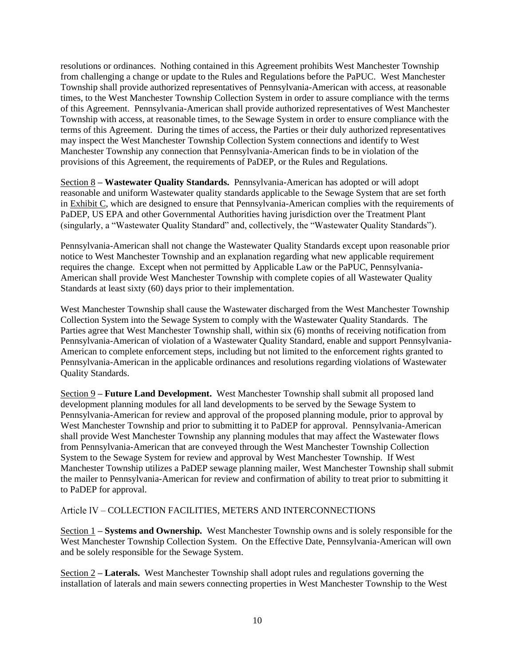resolutions or ordinances. Nothing contained in this Agreement prohibits West Manchester Township from challenging a change or update to the Rules and Regulations before the PaPUC. West Manchester Township shall provide authorized representatives of Pennsylvania-American with access, at reasonable times, to the West Manchester Township Collection System in order to assure compliance with the terms of this Agreement. Pennsylvania-American shall provide authorized representatives of West Manchester Township with access, at reasonable times, to the Sewage System in order to ensure compliance with the terms of this Agreement. During the times of access, the Parties or their duly authorized representatives may inspect the West Manchester Township Collection System connections and identify to West Manchester Township any connection that Pennsylvania-American finds to be in violation of the provisions of this Agreement, the requirements of PaDEP, or the Rules and Regulations.

Section 8 **– Wastewater Quality Standards.** Pennsylvania-American has adopted or will adopt reasonable and uniform Wastewater quality standards applicable to the Sewage System that are set forth in Exhibit C, which are designed to ensure that Pennsylvania-American complies with the requirements of PaDEP, US EPA and other Governmental Authorities having jurisdiction over the Treatment Plant (singularly, a "Wastewater Quality Standard" and, collectively, the "Wastewater Quality Standards").

Pennsylvania-American shall not change the Wastewater Quality Standards except upon reasonable prior notice to West Manchester Township and an explanation regarding what new applicable requirement requires the change. Except when not permitted by Applicable Law or the PaPUC, Pennsylvania-American shall provide West Manchester Township with complete copies of all Wastewater Quality Standards at least sixty (60) days prior to their implementation.

West Manchester Township shall cause the Wastewater discharged from the West Manchester Township Collection System into the Sewage System to comply with the Wastewater Quality Standards. The Parties agree that West Manchester Township shall, within six (6) months of receiving notification from Pennsylvania-American of violation of a Wastewater Quality Standard, enable and support Pennsylvania-American to complete enforcement steps, including but not limited to the enforcement rights granted to Pennsylvania-American in the applicable ordinances and resolutions regarding violations of Wastewater Quality Standards.

Section 9 **– Future Land Development.** West Manchester Township shall submit all proposed land development planning modules for all land developments to be served by the Sewage System to Pennsylvania-American for review and approval of the proposed planning module, prior to approval by West Manchester Township and prior to submitting it to PaDEP for approval. Pennsylvania-American shall provide West Manchester Township any planning modules that may affect the Wastewater flows from Pennsylvania-American that are conveyed through the West Manchester Township Collection System to the Sewage System for review and approval by West Manchester Township. If West Manchester Township utilizes a PaDEP sewage planning mailer, West Manchester Township shall submit the mailer to Pennsylvania-American for review and confirmation of ability to treat prior to submitting it to PaDEP for approval.

– COLLECTION FACILITIES, METERS AND INTERCONNECTIONS

Section 1 **– Systems and Ownership.** West Manchester Township owns and is solely responsible for the West Manchester Township Collection System. On the Effective Date, Pennsylvania-American will own and be solely responsible for the Sewage System.

Section 2 **– Laterals.** West Manchester Township shall adopt rules and regulations governing the installation of laterals and main sewers connecting properties in West Manchester Township to the West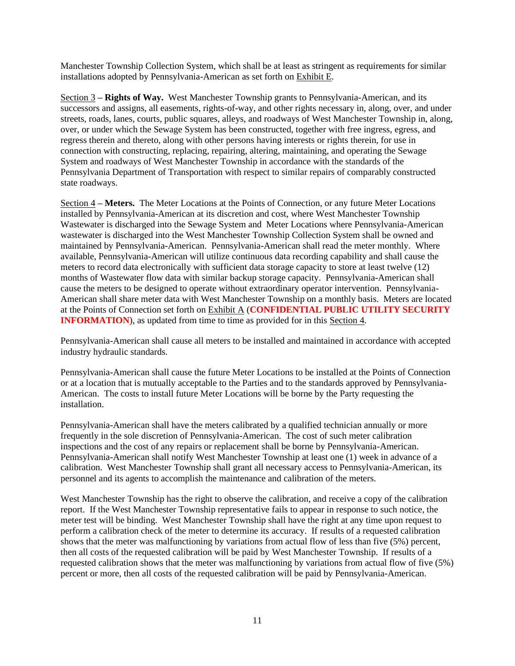Manchester Township Collection System, which shall be at least as stringent as requirements for similar installations adopted by Pennsylvania-American as set forth on Exhibit E.

Section 3 **– Rights of Way.** West Manchester Township grants to Pennsylvania-American, and its successors and assigns, all easements, rights-of-way, and other rights necessary in, along, over, and under streets, roads, lanes, courts, public squares, alleys, and roadways of West Manchester Township in, along, over, or under which the Sewage System has been constructed, together with free ingress, egress, and regress therein and thereto, along with other persons having interests or rights therein, for use in connection with constructing, replacing, repairing, altering, maintaining, and operating the Sewage System and roadways of West Manchester Township in accordance with the standards of the Pennsylvania Department of Transportation with respect to similar repairs of comparably constructed state roadways.

Section 4 **– Meters.** The Meter Locations at the Points of Connection, or any future Meter Locations installed by Pennsylvania-American at its discretion and cost, where West Manchester Township Wastewater is discharged into the Sewage System and Meter Locations where Pennsylvania-American wastewater is discharged into the West Manchester Township Collection System shall be owned and maintained by Pennsylvania-American. Pennsylvania-American shall read the meter monthly. Where available, Pennsylvania-American will utilize continuous data recording capability and shall cause the meters to record data electronically with sufficient data storage capacity to store at least twelve (12) months of Wastewater flow data with similar backup storage capacity. Pennsylvania-American shall cause the meters to be designed to operate without extraordinary operator intervention. Pennsylvania-American shall share meter data with West Manchester Township on a monthly basis. Meters are located at the Points of Connection set forth on Exhibit A (**CONFIDENTIAL PUBLIC UTILITY SECURITY INFORMATION**), as updated from time to time as provided for in this Section 4.

Pennsylvania-American shall cause all meters to be installed and maintained in accordance with accepted industry hydraulic standards.

Pennsylvania-American shall cause the future Meter Locations to be installed at the Points of Connection or at a location that is mutually acceptable to the Parties and to the standards approved by Pennsylvania-American. The costs to install future Meter Locations will be borne by the Party requesting the installation.

Pennsylvania-American shall have the meters calibrated by a qualified technician annually or more frequently in the sole discretion of Pennsylvania-American. The cost of such meter calibration inspections and the cost of any repairs or replacement shall be borne by Pennsylvania-American. Pennsylvania-American shall notify West Manchester Township at least one (1) week in advance of a calibration. West Manchester Township shall grant all necessary access to Pennsylvania-American, its personnel and its agents to accomplish the maintenance and calibration of the meters.

West Manchester Township has the right to observe the calibration, and receive a copy of the calibration report. If the West Manchester Township representative fails to appear in response to such notice, the meter test will be binding. West Manchester Township shall have the right at any time upon request to perform a calibration check of the meter to determine its accuracy. If results of a requested calibration shows that the meter was malfunctioning by variations from actual flow of less than five (5%) percent, then all costs of the requested calibration will be paid by West Manchester Township. If results of a requested calibration shows that the meter was malfunctioning by variations from actual flow of five (5%) percent or more, then all costs of the requested calibration will be paid by Pennsylvania-American.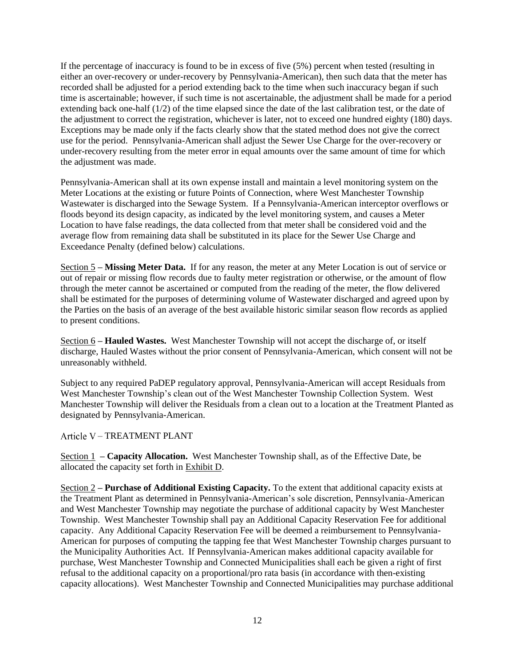If the percentage of inaccuracy is found to be in excess of five (5%) percent when tested (resulting in either an over-recovery or under-recovery by Pennsylvania-American), then such data that the meter has recorded shall be adjusted for a period extending back to the time when such inaccuracy began if such time is ascertainable; however, if such time is not ascertainable, the adjustment shall be made for a period extending back one-half (1/2) of the time elapsed since the date of the last calibration test, or the date of the adjustment to correct the registration, whichever is later, not to exceed one hundred eighty (180) days. Exceptions may be made only if the facts clearly show that the stated method does not give the correct use for the period. Pennsylvania-American shall adjust the Sewer Use Charge for the over-recovery or under-recovery resulting from the meter error in equal amounts over the same amount of time for which the adjustment was made.

Pennsylvania-American shall at its own expense install and maintain a level monitoring system on the Meter Locations at the existing or future Points of Connection, where West Manchester Township Wastewater is discharged into the Sewage System. If a Pennsylvania-American interceptor overflows or floods beyond its design capacity, as indicated by the level monitoring system, and causes a Meter Location to have false readings, the data collected from that meter shall be considered void and the average flow from remaining data shall be substituted in its place for the Sewer Use Charge and Exceedance Penalty (defined below) calculations.

Section 5 **– Missing Meter Data.** If for any reason, the meter at any Meter Location is out of service or out of repair or missing flow records due to faulty meter registration or otherwise, or the amount of flow through the meter cannot be ascertained or computed from the reading of the meter, the flow delivered shall be estimated for the purposes of determining volume of Wastewater discharged and agreed upon by the Parties on the basis of an average of the best available historic similar season flow records as applied to present conditions.

Section 6 **– Hauled Wastes.** West Manchester Township will not accept the discharge of, or itself discharge, Hauled Wastes without the prior consent of Pennsylvania-American, which consent will not be unreasonably withheld.

Subject to any required PaDEP regulatory approval, Pennsylvania-American will accept Residuals from West Manchester Township's clean out of the West Manchester Township Collection System. West Manchester Township will deliver the Residuals from a clean out to a location at the Treatment Planted as designated by Pennsylvania-American.

– TREATMENT PLANT

Section 1 **– Capacity Allocation.** West Manchester Township shall, as of the Effective Date, be allocated the capacity set forth in Exhibit D.

Section 2 **– Purchase of Additional Existing Capacity.** To the extent that additional capacity exists at the Treatment Plant as determined in Pennsylvania-American's sole discretion, Pennsylvania-American and West Manchester Township may negotiate the purchase of additional capacity by West Manchester Township. West Manchester Township shall pay an Additional Capacity Reservation Fee for additional capacity. Any Additional Capacity Reservation Fee will be deemed a reimbursement to Pennsylvania-American for purposes of computing the tapping fee that West Manchester Township charges pursuant to the Municipality Authorities Act. If Pennsylvania-American makes additional capacity available for purchase, West Manchester Township and Connected Municipalities shall each be given a right of first refusal to the additional capacity on a proportional/pro rata basis (in accordance with then-existing capacity allocations). West Manchester Township and Connected Municipalities may purchase additional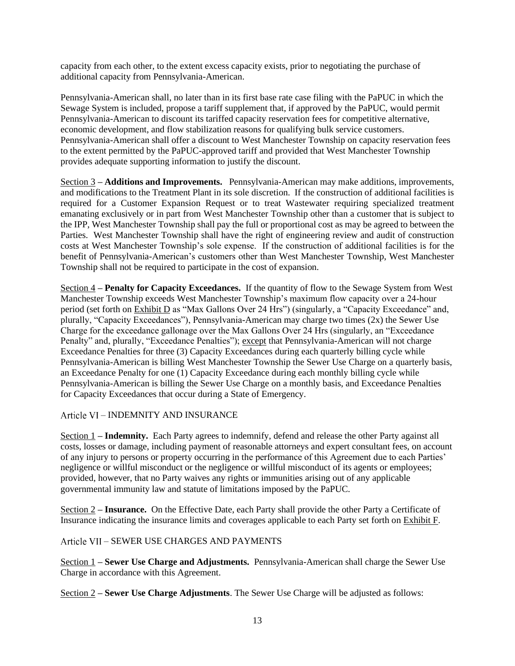capacity from each other, to the extent excess capacity exists, prior to negotiating the purchase of additional capacity from Pennsylvania-American.

Pennsylvania-American shall, no later than in its first base rate case filing with the PaPUC in which the Sewage System is included, propose a tariff supplement that, if approved by the PaPUC, would permit Pennsylvania-American to discount its tariffed capacity reservation fees for competitive alternative, economic development, and flow stabilization reasons for qualifying bulk service customers. Pennsylvania-American shall offer a discount to West Manchester Township on capacity reservation fees to the extent permitted by the PaPUC-approved tariff and provided that West Manchester Township provides adequate supporting information to justify the discount.

Section 3 **– Additions and Improvements.** Pennsylvania-American may make additions, improvements, and modifications to the Treatment Plant in its sole discretion. If the construction of additional facilities is required for a Customer Expansion Request or to treat Wastewater requiring specialized treatment emanating exclusively or in part from West Manchester Township other than a customer that is subject to the IPP, West Manchester Township shall pay the full or proportional cost as may be agreed to between the Parties. West Manchester Township shall have the right of engineering review and audit of construction costs at West Manchester Township's sole expense. If the construction of additional facilities is for the benefit of Pennsylvania-American's customers other than West Manchester Township, West Manchester Township shall not be required to participate in the cost of expansion.

Section 4 **– Penalty for Capacity Exceedances.** If the quantity of flow to the Sewage System from West Manchester Township exceeds West Manchester Township's maximum flow capacity over a 24-hour period (set forth on Exhibit D as "Max Gallons Over 24 Hrs") (singularly, a "Capacity Exceedance" and, plurally, "Capacity Exceedances"), Pennsylvania-American may charge two times (2x) the Sewer Use Charge for the exceedance gallonage over the Max Gallons Over 24 Hrs (singularly, an "Exceedance Penalty" and, plurally, "Exceedance Penalties"); except that Pennsylvania-American will not charge Exceedance Penalties for three (3) Capacity Exceedances during each quarterly billing cycle while Pennsylvania-American is billing West Manchester Township the Sewer Use Charge on a quarterly basis, an Exceedance Penalty for one (1) Capacity Exceedance during each monthly billing cycle while Pennsylvania-American is billing the Sewer Use Charge on a monthly basis, and Exceedance Penalties for Capacity Exceedances that occur during a State of Emergency.

– INDEMNITY AND INSURANCE

Section 1 **– Indemnity.** Each Party agrees to indemnify, defend and release the other Party against all costs, losses or damage, including payment of reasonable attorneys and expert consultant fees, on account of any injury to persons or property occurring in the performance of this Agreement due to each Parties' negligence or willful misconduct or the negligence or willful misconduct of its agents or employees; provided, however, that no Party waives any rights or immunities arising out of any applicable governmental immunity law and statute of limitations imposed by the PaPUC.

Section 2 **– Insurance.** On the Effective Date, each Party shall provide the other Party a Certificate of Insurance indicating the insurance limits and coverages applicable to each Party set forth on Exhibit F.

– SEWER USE CHARGES AND PAYMENTS

Section 1 **– Sewer Use Charge and Adjustments.** Pennsylvania-American shall charge the Sewer Use Charge in accordance with this Agreement.

Section 2 **– Sewer Use Charge Adjustments**. The Sewer Use Charge will be adjusted as follows: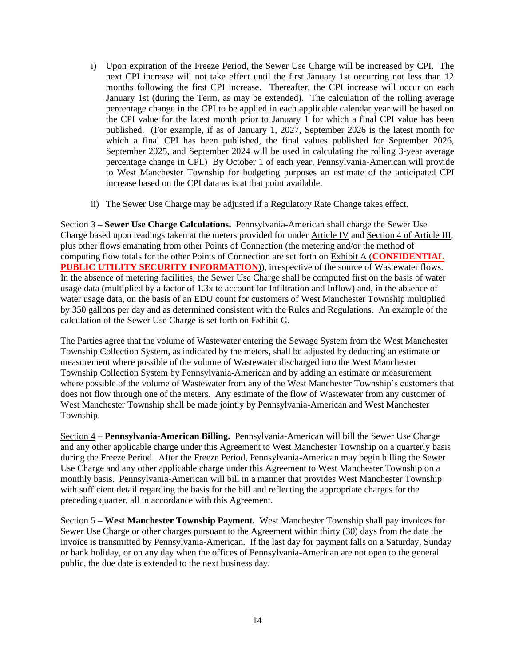- i) Upon expiration of the Freeze Period, the Sewer Use Charge will be increased by CPI. The next CPI increase will not take effect until the first January 1st occurring not less than 12 months following the first CPI increase. Thereafter, the CPI increase will occur on each January 1st (during the Term, as may be extended). The calculation of the rolling average percentage change in the CPI to be applied in each applicable calendar year will be based on the CPI value for the latest month prior to January 1 for which a final CPI value has been published. (For example, if as of January 1, 2027, September 2026 is the latest month for which a final CPI has been published, the final values published for September 2026, September 2025, and September 2024 will be used in calculating the rolling 3-year average percentage change in CPI.) By October 1 of each year, Pennsylvania-American will provide to West Manchester Township for budgeting purposes an estimate of the anticipated CPI increase based on the CPI data as is at that point available.
- ii) The Sewer Use Charge may be adjusted if a Regulatory Rate Change takes effect.

Section 3 **– Sewer Use Charge Calculations.** Pennsylvania-American shall charge the Sewer Use Charge based upon readings taken at the meters provided for under Article IV and Section 4 of Article III, plus other flows emanating from other Points of Connection (the metering and/or the method of computing flow totals for the other Points of Connection are set forth on Exhibit A (**CONFIDENTIAL PUBLIC UTILITY SECURITY INFORMATION**)), irrespective of the source of Wastewater flows. In the absence of metering facilities, the Sewer Use Charge shall be computed first on the basis of water usage data (multiplied by a factor of 1.3x to account for Infiltration and Inflow) and, in the absence of water usage data, on the basis of an EDU count for customers of West Manchester Township multiplied by 350 gallons per day and as determined consistent with the Rules and Regulations. An example of the calculation of the Sewer Use Charge is set forth on Exhibit G.

The Parties agree that the volume of Wastewater entering the Sewage System from the West Manchester Township Collection System, as indicated by the meters, shall be adjusted by deducting an estimate or measurement where possible of the volume of Wastewater discharged into the West Manchester Township Collection System by Pennsylvania-American and by adding an estimate or measurement where possible of the volume of Wastewater from any of the West Manchester Township's customers that does not flow through one of the meters. Any estimate of the flow of Wastewater from any customer of West Manchester Township shall be made jointly by Pennsylvania-American and West Manchester Township.

Section 4 – **Pennsylvania-American Billing.** Pennsylvania-American will bill the Sewer Use Charge and any other applicable charge under this Agreement to West Manchester Township on a quarterly basis during the Freeze Period. After the Freeze Period, Pennsylvania-American may begin billing the Sewer Use Charge and any other applicable charge under this Agreement to West Manchester Township on a monthly basis. Pennsylvania-American will bill in a manner that provides West Manchester Township with sufficient detail regarding the basis for the bill and reflecting the appropriate charges for the preceding quarter, all in accordance with this Agreement.

Section 5 **– West Manchester Township Payment.** West Manchester Township shall pay invoices for Sewer Use Charge or other charges pursuant to the Agreement within thirty (30) days from the date the invoice is transmitted by Pennsylvania-American.If the last day for payment falls on a Saturday, Sunday or bank holiday, or on any day when the offices of Pennsylvania-American are not open to the general public, the due date is extended to the next business day.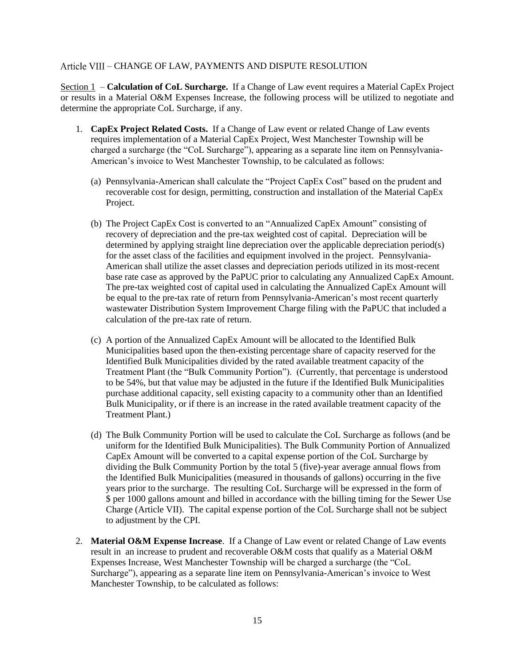#### – CHANGE OF LAW, PAYMENTS AND DISPUTE RESOLUTION

Section 1 – **Calculation of CoL Surcharge.** If a Change of Law event requires a Material CapEx Project or results in a Material O&M Expenses Increase, the following process will be utilized to negotiate and determine the appropriate CoL Surcharge, if any.

- 1. **CapEx Project Related Costs.** If a Change of Law event or related Change of Law events requires implementation of a Material CapEx Project, West Manchester Township will be charged a surcharge (the "CoL Surcharge"), appearing as a separate line item on Pennsylvania-American's invoice to West Manchester Township, to be calculated as follows:
	- (a) Pennsylvania-American shall calculate the "Project CapEx Cost" based on the prudent and recoverable cost for design, permitting, construction and installation of the Material CapEx Project.
	- (b) The Project CapEx Cost is converted to an "Annualized CapEx Amount" consisting of recovery of depreciation and the pre-tax weighted cost of capital. Depreciation will be determined by applying straight line depreciation over the applicable depreciation period(s) for the asset class of the facilities and equipment involved in the project. Pennsylvania-American shall utilize the asset classes and depreciation periods utilized in its most-recent base rate case as approved by the PaPUC prior to calculating any Annualized CapEx Amount. The pre-tax weighted cost of capital used in calculating the Annualized CapEx Amount will be equal to the pre-tax rate of return from Pennsylvania-American's most recent quarterly wastewater Distribution System Improvement Charge filing with the PaPUC that included a calculation of the pre-tax rate of return.
	- (c) A portion of the Annualized CapEx Amount will be allocated to the Identified Bulk Municipalities based upon the then-existing percentage share of capacity reserved for the Identified Bulk Municipalities divided by the rated available treatment capacity of the Treatment Plant (the "Bulk Community Portion"). (Currently, that percentage is understood to be 54%, but that value may be adjusted in the future if the Identified Bulk Municipalities purchase additional capacity, sell existing capacity to a community other than an Identified Bulk Municipality, or if there is an increase in the rated available treatment capacity of the Treatment Plant.)
	- (d) The Bulk Community Portion will be used to calculate the CoL Surcharge as follows (and be uniform for the Identified Bulk Municipalities). The Bulk Community Portion of Annualized CapEx Amount will be converted to a capital expense portion of the CoL Surcharge by dividing the Bulk Community Portion by the total 5 (five)-year average annual flows from the Identified Bulk Municipalities (measured in thousands of gallons) occurring in the five years prior to the surcharge. The resulting CoL Surcharge will be expressed in the form of \$ per 1000 gallons amount and billed in accordance with the billing timing for the Sewer Use Charge (Article VII). The capital expense portion of the CoL Surcharge shall not be subject to adjustment by the CPI.
- 2. **Material O&M Expense Increase**. If a Change of Law event or related Change of Law events result in an increase to prudent and recoverable O&M costs that qualify as a Material O&M Expenses Increase, West Manchester Township will be charged a surcharge (the "CoL Surcharge"), appearing as a separate line item on Pennsylvania-American's invoice to West Manchester Township, to be calculated as follows: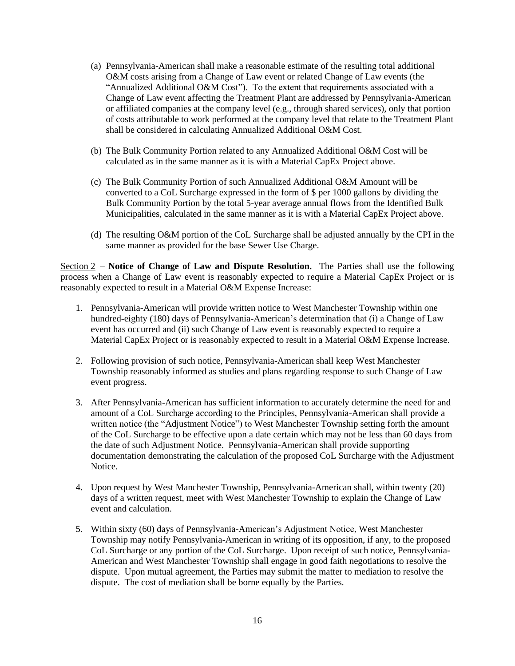- (a) Pennsylvania-American shall make a reasonable estimate of the resulting total additional O&M costs arising from a Change of Law event or related Change of Law events (the "Annualized Additional O&M Cost"). To the extent that requirements associated with a Change of Law event affecting the Treatment Plant are addressed by Pennsylvania-American or affiliated companies at the company level (e.g., through shared services), only that portion of costs attributable to work performed at the company level that relate to the Treatment Plant shall be considered in calculating Annualized Additional O&M Cost.
- (b) The Bulk Community Portion related to any Annualized Additional O&M Cost will be calculated as in the same manner as it is with a Material CapEx Project above.
- (c) The Bulk Community Portion of such Annualized Additional O&M Amount will be converted to a CoL Surcharge expressed in the form of \$ per 1000 gallons by dividing the Bulk Community Portion by the total 5-year average annual flows from the Identified Bulk Municipalities, calculated in the same manner as it is with a Material CapEx Project above.
- (d) The resulting O&M portion of the CoL Surcharge shall be adjusted annually by the CPI in the same manner as provided for the base Sewer Use Charge.

Section 2 – **Notice of Change of Law and Dispute Resolution.** The Parties shall use the following process when a Change of Law event is reasonably expected to require a Material CapEx Project or is reasonably expected to result in a Material O&M Expense Increase:

- 1. Pennsylvania-American will provide written notice to West Manchester Township within one hundred-eighty (180) days of Pennsylvania-American's determination that (i) a Change of Law event has occurred and (ii) such Change of Law event is reasonably expected to require a Material CapEx Project or is reasonably expected to result in a Material O&M Expense Increase.
- 2. Following provision of such notice, Pennsylvania-American shall keep West Manchester Township reasonably informed as studies and plans regarding response to such Change of Law event progress.
- 3. After Pennsylvania-American has sufficient information to accurately determine the need for and amount of a CoL Surcharge according to the Principles, Pennsylvania-American shall provide a written notice (the "Adjustment Notice") to West Manchester Township setting forth the amount of the CoL Surcharge to be effective upon a date certain which may not be less than 60 days from the date of such Adjustment Notice. Pennsylvania-American shall provide supporting documentation demonstrating the calculation of the proposed CoL Surcharge with the Adjustment Notice.
- 4. Upon request by West Manchester Township, Pennsylvania-American shall, within twenty (20) days of a written request, meet with West Manchester Township to explain the Change of Law event and calculation.
- 5. Within sixty (60) days of Pennsylvania-American's Adjustment Notice, West Manchester Township may notify Pennsylvania-American in writing of its opposition, if any, to the proposed CoL Surcharge or any portion of the CoL Surcharge. Upon receipt of such notice, Pennsylvania-American and West Manchester Township shall engage in good faith negotiations to resolve the dispute. Upon mutual agreement, the Parties may submit the matter to mediation to resolve the dispute. The cost of mediation shall be borne equally by the Parties.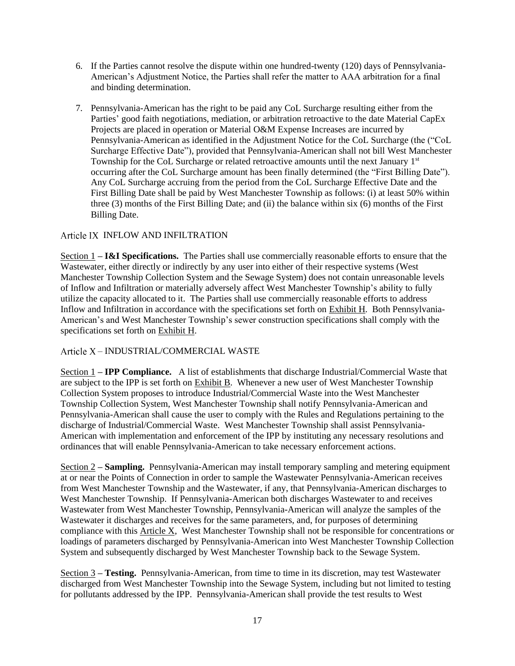- 6. If the Parties cannot resolve the dispute within one hundred-twenty (120) days of Pennsylvania-American's Adjustment Notice, the Parties shall refer the matter to AAA arbitration for a final and binding determination.
- 7. Pennsylvania-American has the right to be paid any CoL Surcharge resulting either from the Parties' good faith negotiations, mediation, or arbitration retroactive to the date Material CapEx Projects are placed in operation or Material O&M Expense Increases are incurred by Pennsylvania-American as identified in the Adjustment Notice for the CoL Surcharge (the ("CoL Surcharge Effective Date"), provided that Pennsylvania-American shall not bill West Manchester Township for the CoL Surcharge or related retroactive amounts until the next January  $1<sup>st</sup>$ occurring after the CoL Surcharge amount has been finally determined (the "First Billing Date"). Any CoL Surcharge accruing from the period from the CoL Surcharge Effective Date and the First Billing Date shall be paid by West Manchester Township as follows: (i) at least 50% within three (3) months of the First Billing Date; and (ii) the balance within six (6) months of the First Billing Date.

## Article IX INFLOW AND INFILTRATION

Section 1 **– I&I Specifications.** The Parties shall use commercially reasonable efforts to ensure that the Wastewater, either directly or indirectly by any user into either of their respective systems (West Manchester Township Collection System and the Sewage System) does not contain unreasonable levels of Inflow and Infiltration or materially adversely affect West Manchester Township's ability to fully utilize the capacity allocated to it. The Parties shall use commercially reasonable efforts to address Inflow and Infiltration in accordance with the specifications set forth on Exhibit H. Both Pennsylvania-American's and West Manchester Township's sewer construction specifications shall comply with the specifications set forth on Exhibit H.

## – INDUSTRIAL/COMMERCIAL WASTE

Section 1 **– IPP Compliance.** A list of establishments that discharge Industrial/Commercial Waste that are subject to the IPP is set forth on Exhibit B. Whenever a new user of West Manchester Township Collection System proposes to introduce Industrial/Commercial Waste into the West Manchester Township Collection System, West Manchester Township shall notify Pennsylvania-American and Pennsylvania-American shall cause the user to comply with the Rules and Regulations pertaining to the discharge of Industrial/Commercial Waste. West Manchester Township shall assist Pennsylvania-American with implementation and enforcement of the IPP by instituting any necessary resolutions and ordinances that will enable Pennsylvania-American to take necessary enforcement actions.

Section 2 **– Sampling.** Pennsylvania-American may install temporary sampling and metering equipment at or near the Points of Connection in order to sample the Wastewater Pennsylvania-American receives from West Manchester Township and the Wastewater, if any, that Pennsylvania-American discharges to West Manchester Township. If Pennsylvania-American both discharges Wastewater to and receives Wastewater from West Manchester Township, Pennsylvania-American will analyze the samples of the Wastewater it discharges and receives for the same parameters, and, for purposes of determining compliance with this Article X, West Manchester Township shall not be responsible for concentrations or loadings of parameters discharged by Pennsylvania-American into West Manchester Township Collection System and subsequently discharged by West Manchester Township back to the Sewage System.

Section 3 **– Testing.** Pennsylvania-American, from time to time in its discretion, may test Wastewater discharged from West Manchester Township into the Sewage System, including but not limited to testing for pollutants addressed by the IPP. Pennsylvania-American shall provide the test results to West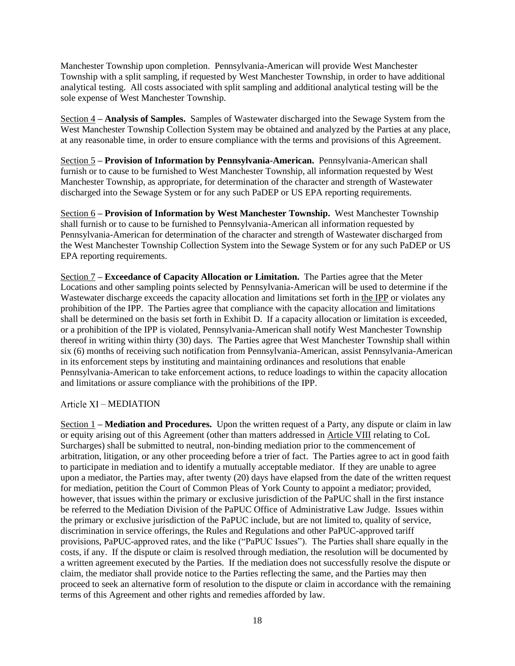Manchester Township upon completion. Pennsylvania-American will provide West Manchester Township with a split sampling, if requested by West Manchester Township, in order to have additional analytical testing. All costs associated with split sampling and additional analytical testing will be the sole expense of West Manchester Township.

Section 4 **– Analysis of Samples.** Samples of Wastewater discharged into the Sewage System from the West Manchester Township Collection System may be obtained and analyzed by the Parties at any place, at any reasonable time, in order to ensure compliance with the terms and provisions of this Agreement.

Section 5 **– Provision of Information by Pennsylvania-American.** Pennsylvania-American shall furnish or to cause to be furnished to West Manchester Township, all information requested by West Manchester Township, as appropriate, for determination of the character and strength of Wastewater discharged into the Sewage System or for any such PaDEP or US EPA reporting requirements.

Section 6 **– Provision of Information by West Manchester Township.** West Manchester Township shall furnish or to cause to be furnished to Pennsylvania-American all information requested by Pennsylvania-American for determination of the character and strength of Wastewater discharged from the West Manchester Township Collection System into the Sewage System or for any such PaDEP or US EPA reporting requirements.

Section 7 **– Exceedance of Capacity Allocation or Limitation.** The Parties agree that the Meter Locations and other sampling points selected by Pennsylvania-American will be used to determine if the Wastewater discharge exceeds the capacity allocation and limitations set forth in the IPP or violates any prohibition of the IPP. The Parties agree that compliance with the capacity allocation and limitations shall be determined on the basis set forth in Exhibit D. If a capacity allocation or limitation is exceeded, or a prohibition of the IPP is violated, Pennsylvania-American shall notify West Manchester Township thereof in writing within thirty (30) days. The Parties agree that West Manchester Township shall within six (6) months of receiving such notification from Pennsylvania-American, assist Pennsylvania-American in its enforcement steps by instituting and maintaining ordinances and resolutions that enable Pennsylvania-American to take enforcement actions, to reduce loadings to within the capacity allocation and limitations or assure compliance with the prohibitions of the IPP.

#### Article XI – MEDIATION

Section 1 **– Mediation and Procedures.** Upon the written request of a Party, any dispute or claim in law or equity arising out of this Agreement (other than matters addressed in Article VIII relating to CoL Surcharges) shall be submitted to neutral, non-binding mediation prior to the commencement of arbitration, litigation, or any other proceeding before a trier of fact. The Parties agree to act in good faith to participate in mediation and to identify a mutually acceptable mediator. If they are unable to agree upon a mediator, the Parties may, after twenty (20) days have elapsed from the date of the written request for mediation, petition the Court of Common Pleas of York County to appoint a mediator; provided, however, that issues within the primary or exclusive jurisdiction of the PaPUC shall in the first instance be referred to the Mediation Division of the PaPUC Office of Administrative Law Judge. Issues within the primary or exclusive jurisdiction of the PaPUC include, but are not limited to, quality of service, discrimination in service offerings, the Rules and Regulations and other PaPUC-approved tariff provisions, PaPUC-approved rates, and the like ("PaPUC Issues"). The Parties shall share equally in the costs, if any. If the dispute or claim is resolved through mediation, the resolution will be documented by a written agreement executed by the Parties. If the mediation does not successfully resolve the dispute or claim, the mediator shall provide notice to the Parties reflecting the same, and the Parties may then proceed to seek an alternative form of resolution to the dispute or claim in accordance with the remaining terms of this Agreement and other rights and remedies afforded by law.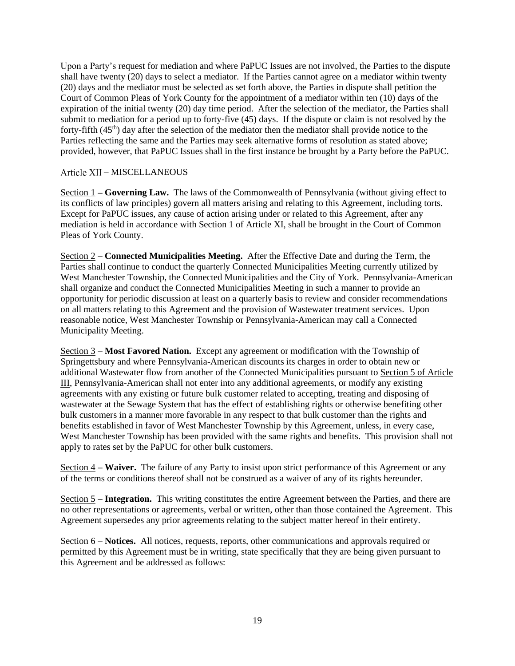Upon a Party's request for mediation and where PaPUC Issues are not involved, the Parties to the dispute shall have twenty (20) days to select a mediator. If the Parties cannot agree on a mediator within twenty (20) days and the mediator must be selected as set forth above, the Parties in dispute shall petition the Court of Common Pleas of York County for the appointment of a mediator within ten (10) days of the expiration of the initial twenty (20) day time period. After the selection of the mediator, the Parties shall submit to mediation for a period up to forty-five (45) days. If the dispute or claim is not resolved by the forty-fifth (45<sup>th</sup>) day after the selection of the mediator then the mediator shall provide notice to the Parties reflecting the same and the Parties may seek alternative forms of resolution as stated above; provided, however, that PaPUC Issues shall in the first instance be brought by a Party before the PaPUC.

## Article XII - MISCELLANEOUS

Section 1 **– Governing Law.** The laws of the Commonwealth of Pennsylvania (without giving effect to its conflicts of law principles) govern all matters arising and relating to this Agreement, including torts. Except for PaPUC issues, any cause of action arising under or related to this Agreement, after any mediation is held in accordance with Section 1 of Article XI, shall be brought in the Court of Common Pleas of York County.

Section 2 **– Connected Municipalities Meeting.** After the Effective Date and during the Term, the Parties shall continue to conduct the quarterly Connected Municipalities Meeting currently utilized by West Manchester Township, the Connected Municipalities and the City of York. Pennsylvania-American shall organize and conduct the Connected Municipalities Meeting in such a manner to provide an opportunity for periodic discussion at least on a quarterly basis to review and consider recommendations on all matters relating to this Agreement and the provision of Wastewater treatment services. Upon reasonable notice, West Manchester Township or Pennsylvania-American may call a Connected Municipality Meeting.

Section 3 **– Most Favored Nation.** Except any agreement or modification with the Township of Springettsbury and where Pennsylvania-American discounts its charges in order to obtain new or additional Wastewater flow from another of the Connected Municipalities pursuant to Section 5 of Article III, Pennsylvania-American shall not enter into any additional agreements, or modify any existing agreements with any existing or future bulk customer related to accepting, treating and disposing of wastewater at the Sewage System that has the effect of establishing rights or otherwise benefiting other bulk customers in a manner more favorable in any respect to that bulk customer than the rights and benefits established in favor of West Manchester Township by this Agreement, unless, in every case, West Manchester Township has been provided with the same rights and benefits. This provision shall not apply to rates set by the PaPUC for other bulk customers.

Section 4 **– Waiver.** The failure of any Party to insist upon strict performance of this Agreement or any of the terms or conditions thereof shall not be construed as a waiver of any of its rights hereunder.

Section 5 **– Integration.** This writing constitutes the entire Agreement between the Parties, and there are no other representations or agreements, verbal or written, other than those contained the Agreement. This Agreement supersedes any prior agreements relating to the subject matter hereof in their entirety.

Section 6 **– Notices.** All notices, requests, reports, other communications and approvals required or permitted by this Agreement must be in writing, state specifically that they are being given pursuant to this Agreement and be addressed as follows: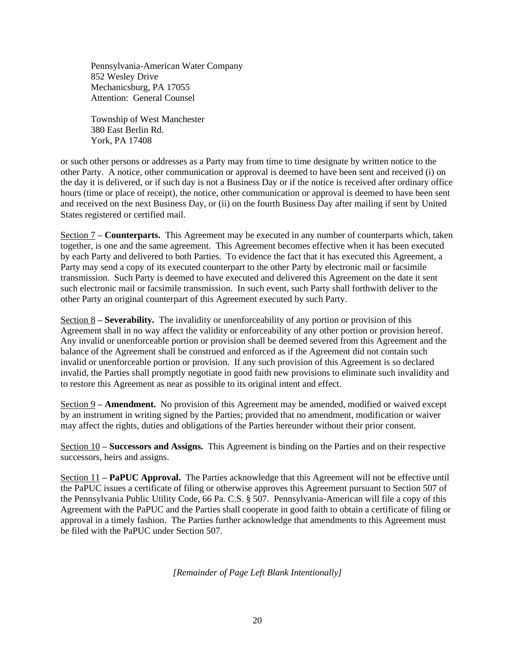Pennsylvania-American Water Company 852 Wesley Drive Mechanicsburg, PA 17055 Attention: General Counsel

Township of West Manchester 380 East Berlin Rd. York, PA 17408

or such other persons or addresses as a Party may from time to time designate by written notice to the other Party. A notice, other communication or approval is deemed to have been sent and received (i) on the day it is delivered, or if such day is not a Business Day or if the notice is received after ordinary office hours (time or place of receipt), the notice, other communication or approval is deemed to have been sent and received on the next Business Day, or (ii) on the fourth Business Day after mailing if sent by United States registered or certified mail.

Section 7 **– Counterparts.** This Agreement may be executed in any number of counterparts which, taken together, is one and the same agreement. This Agreement becomes effective when it has been executed by each Party and delivered to both Parties. To evidence the fact that it has executed this Agreement, a Party may send a copy of its executed counterpart to the other Party by electronic mail or facsimile transmission. Such Party is deemed to have executed and delivered this Agreement on the date it sent such electronic mail or facsimile transmission. In such event, such Party shall forthwith deliver to the other Party an original counterpart of this Agreement executed by such Party.

Section 8 **– Severability.** The invalidity or unenforceability of any portion or provision of this Agreement shall in no way affect the validity or enforceability of any other portion or provision hereof. Any invalid or unenforceable portion or provision shall be deemed severed from this Agreement and the balance of the Agreement shall be construed and enforced as if the Agreement did not contain such invalid or unenforceable portion or provision. If any such provision of this Agreement is so declared invalid, the Parties shall promptly negotiate in good faith new provisions to eliminate such invalidity and to restore this Agreement as near as possible to its original intent and effect.

Section 9 **– Amendment.** No provision of this Agreement may be amended, modified or waived except by an instrument in writing signed by the Parties; provided that no amendment, modification or waiver may affect the rights, duties and obligations of the Parties hereunder without their prior consent.

Section 10 **– Successors and Assigns.** This Agreement is binding on the Parties and on their respective successors, heirs and assigns.

Section 11 **– PaPUC Approval.** The Parties acknowledge that this Agreement will not be effective until the PaPUC issues a certificate of filing or otherwise approves this Agreement pursuant to Section 507 of the Pennsylvania Public Utility Code, 66 Pa. C.S. § 507. Pennsylvania-American will file a copy of this Agreement with the PaPUC and the Parties shall cooperate in good faith to obtain a certificate of filing or approval in a timely fashion. The Parties further acknowledge that amendments to this Agreement must be filed with the PaPUC under Section 507.

*[Remainder of Page Left Blank Intentionally]*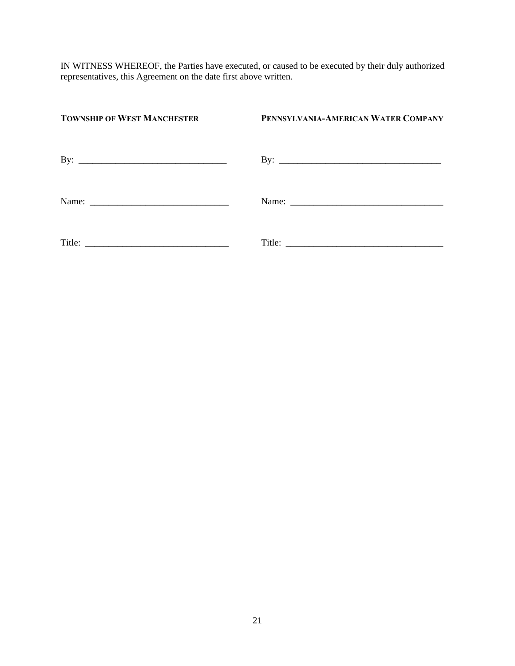IN WITNESS WHEREOF, the Parties have executed, or caused to be executed by their duly authorized representatives, this Agreement on the date first above written.

| <b>TOWNSHIP OF WEST MANCHESTER</b>                        | PENNSYLVANIA-AMERICAN WATER COMPANY |
|-----------------------------------------------------------|-------------------------------------|
| By:<br><u> Andrewski program (* 1958)</u>                 |                                     |
|                                                           |                                     |
| Title: $\frac{1}{\sqrt{1-\frac{1}{2}} \cdot \frac{1}{2}}$ |                                     |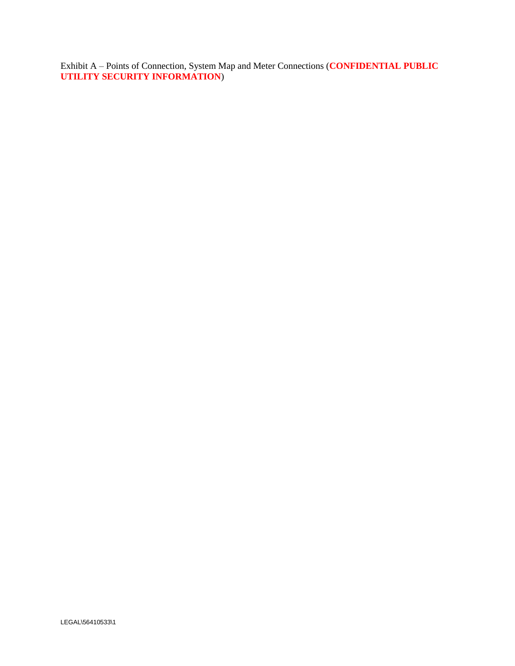Exhibit A – Points of Connection, System Map and Meter Connections (**CONFIDENTIAL PUBLIC UTILITY SECURITY INFORMATION**)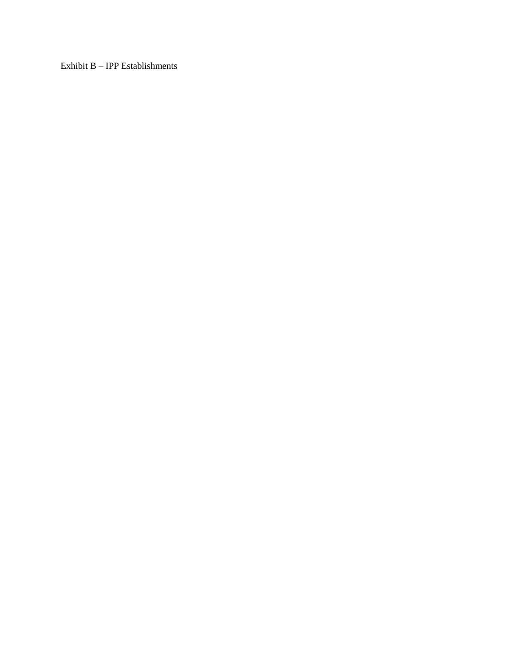Exhibit B – IPP Establishments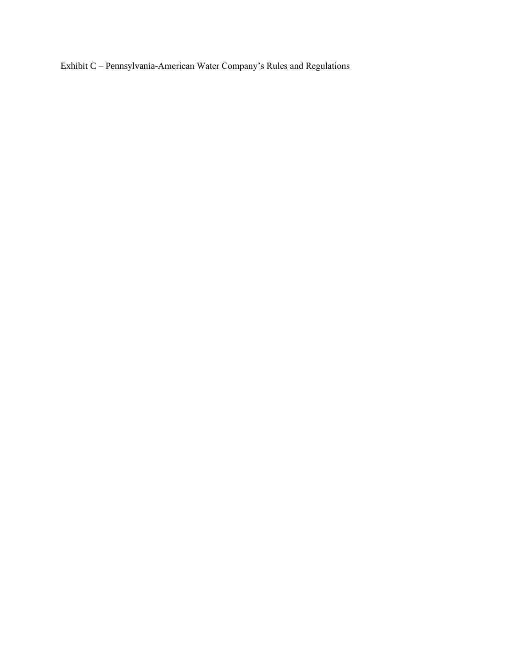Exhibit C – Pennsylvania-American Water Company's Rules and Regulations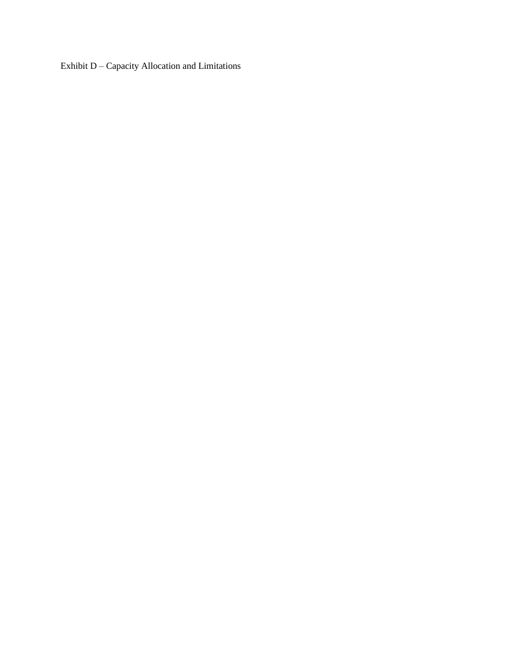Exhibit D – Capacity Allocation and Limitations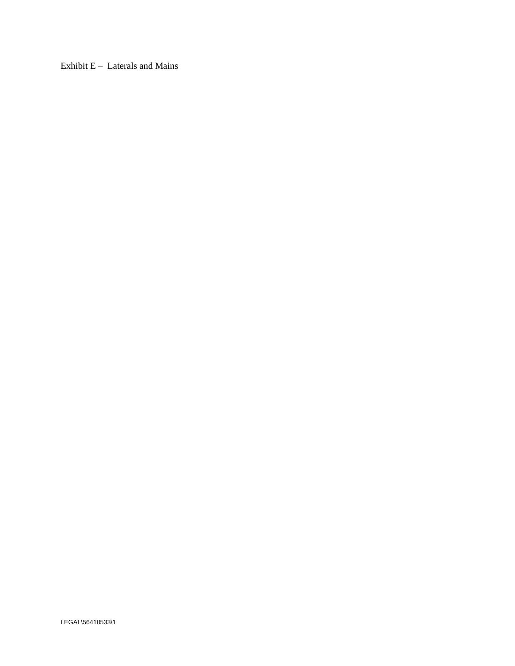Exhibit  $E -$  Laterals and Mains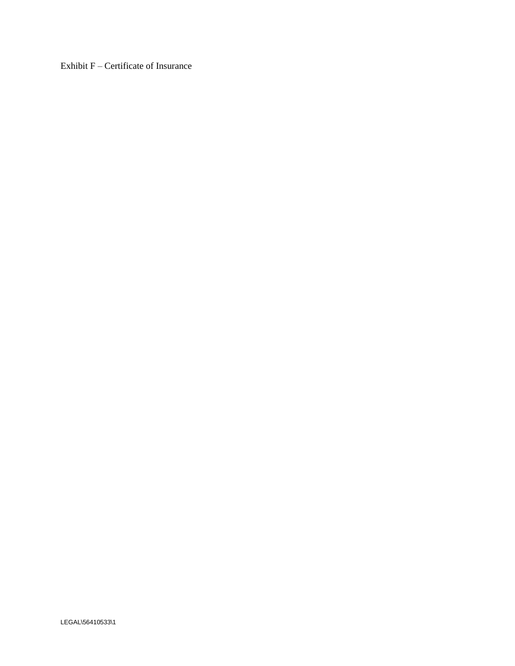Exhibit F – Certificate of Insurance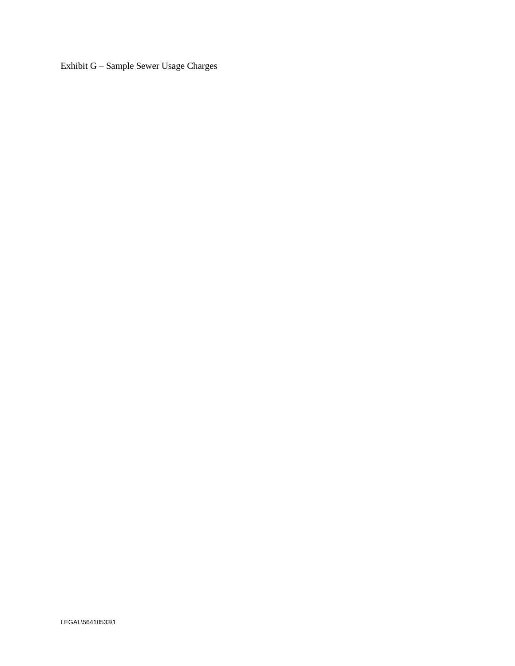Exhibit G – Sample Sewer Usage Charges